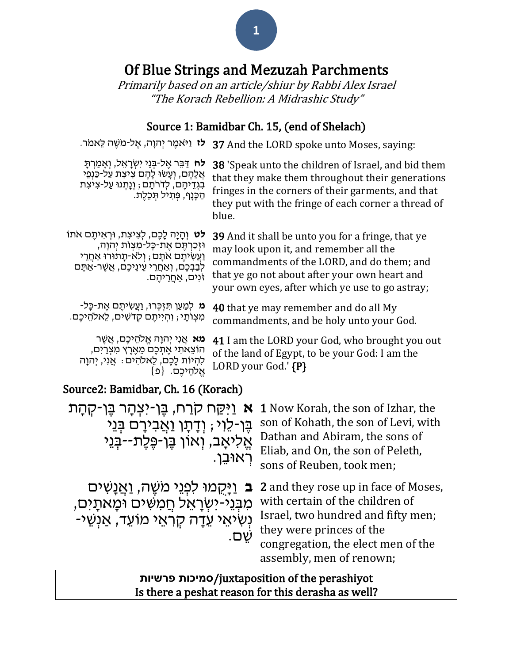# Of Blue Strings and Mezuzah Parchments

Primarily based on an article/shiur by Rabbi Alex Israel "The Korach Rebellion: A Midrashic Study"

## Source 1: Bamidbar Ch. 15, (end of Shelach)

| <b>לז</b> וַיֹּאמֶר יְהוָה, אֱל-מֹשֶׁה לֵאמֹר.                                                                                                                                                                          | 37 And the LORD spoke unto Moses, saying:                                                                                                                                                                                                            |  |
|-------------------------------------------------------------------------------------------------------------------------------------------------------------------------------------------------------------------------|------------------------------------------------------------------------------------------------------------------------------------------------------------------------------------------------------------------------------------------------------|--|
| <b>לח</b> דַּבֵּר אֵל-בִּנֵי יִשְׂרָאֵל, וְאָמַרְתָּ<br>אֲלֶהֶם, וְעָשׂוּ לָהֶם צְיצְת עַל-כַּנְפֵי<br>בִגְדֵיהֵם, לְדֹרֹתָם ; וְנָתִנוּ עַל-צִיצִת<br>הַכָּנָף, פְּתִיל תְּכֵלֶת.                                      | 38 'Speak unto the children of Israel, and bid them<br>that they make them throughout their generations<br>fringes in the corners of their garments, and that<br>they put with the fringe of each corner a thread of<br>blue.                        |  |
| <b>לט</b> וִהָיָה לָכֵם, לִצִיצִת, וּרְאִיתֵם אֹתוֹ<br>וּזְכַרְתֶּם אֶת-כָּל-מִצְוֹת יִהוָה,<br>ַוַעֲשִׂיתֵם אֹתָם ; וְלֹא-תַתוּרוּ אַחֲרֵי<br>לִבַּבִּכֵּם, וְאַחֲרֵי עֵינֵיכֵם, אֲשֵׁר-אַתֵּם<br>ּזֹנִים, אַחֲרֵיהֵם. | <b>39</b> And it shall be unto you for a fringe, that ye<br>may look upon it, and remember all the<br>commandments of the LORD, and do them; and<br>that ye go not about after your own heart and<br>your own eyes, after which ye use to go astray; |  |
| ֹמַ לְמַעַן תִּזְכְּרוּ, וַעֲשִׂיתֶם אֶת-כָּל-<br>מִצְוֹתָי ; וְהִיִיתֵם קִדֹשִׁים, לֵאלהֵיכֵם.                                                                                                                         | <b>40</b> that ye may remember and do all My<br>commandments, and be holy unto your God.                                                                                                                                                             |  |
| <b>ּמא</b> אֲנִי יְהוָה אֱלֹהֵיכֶם, אֲשֶׁר<br>ּהוֹצֵאתִי אֶתְכֶם מֵאֶרֶץ מִצְרַיִם,<br>לְהִיוֹת לָכֵם, לֵאלֹהִים ּ אֲנִי, יִהוָה<br>אֱלֹהֶיכֶם. {פ                                                                      | 41 I am the LORD your God, who brought you out<br>of the land of Egypt, to be your God: I am the<br>LORD your God.' {P}                                                                                                                              |  |
| Source2: Bamidbar, Ch. 16 (Korach)                                                                                                                                                                                      |                                                                                                                                                                                                                                                      |  |
| א וַיִּקַח קרַח, בֶּן-יִצְהָר בֵּן-קְהָת<br><b>1</b> Now Korah, the son of Izhar, the                                                                                                                                   |                                                                                                                                                                                                                                                      |  |
| son of Kohath, the son of Levi, with<br>בּו-לוי : ודתו ואבירם בּני                                                                                                                                                      |                                                                                                                                                                                                                                                      |  |

| בֶּן-לֵוִי ; וְדָתָן וַאֲבִירָם בְּנֵי<br>אֱלִיאָב, וְאוֹן בֵן-פֵלֶת--בְּנֵי<br>ַרְאוּבֵן.    | son of Kohath, the son of Levi, with<br>Dathan and Abiram, the sons of<br>Eliab, and On, the son of Peleth,<br>sons of Reuben, took men;                                                                                                        |
|-----------------------------------------------------------------------------------------------|-------------------------------------------------------------------------------------------------------------------------------------------------------------------------------------------------------------------------------------------------|
| מִבְּנֵי-יִשְׂרָאֵל חֲמִשִּׁים וּמָאתָים,<br>ַנְשִׂיאֵי עֵדָה קִרְאֵי מוֹעֵד, אַנְשֵׁי<br>שם. | פֿןַמוּ לִפְנֵי מֹשֶׁה, וַאֲנָשִׁים 2 and they rose up in face of Moses,<br>with certain of the children of<br>Israel, two hundred and fifty men;<br>they were princes of the<br>congregation, the elect men of the<br>assembly, men of renown; |

 **פרשיות סמיכות**/juxtaposition of the perashiyot Is there a peshat reason for this derasha as well?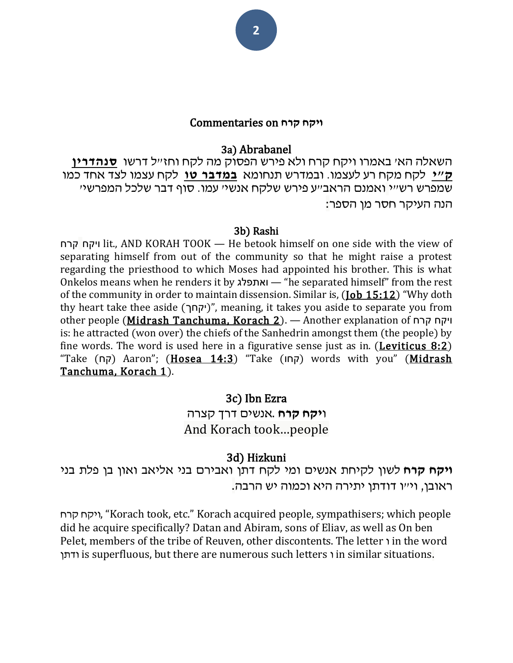#### **ויקח קרח** on Commentaries

#### 3a) Abrabanel

השאלה הא' באמרו ויקח קרח ולא פירש הפסוק מה לקח וחז"ל דרשו **[סנהדרין](https://www.sefaria.org/Sanhedrin.110a)  [ק"י](https://www.sefaria.org/Sanhedrin.110a)** לקח מקח רע לעצמו. ובמדרש תנחומא **[במדבר טו](https://www.sefaria.org/Numbers.15)** לקח עצמו לצד אחד כמו שמפרש רש"י ואמנם הראב"ע פירש שלקח אנשי' עמו. סוף דבר שלכל המפרשי' הנה העיקר חסר מן הספר:

#### 3b) Rashi

קרח ויקח lit., AND KORAH TOOK — He betook himself on one side with the view of separating himself from out of the community so that he might raise a protest regarding the priesthood to which Moses had appointed his brother. This is what Onkelos means when he renders it by ואתפלג" — he separated himself" from the rest of the community in order to maintain dissension. Similar is, [\(Job 15:12](https://www.sefaria.org/Job.15.12)) "Why doth thy heart take thee aside (יקחך)", meaning, it takes you aside to separate you from other people [\(Midrash Tanchuma, Korach 2\)](https://www.sefaria.org/Midrash_Tanchuma,_Korach.2). — Another explanation of קרח ויקח is: he attracted (won over) the chiefs of the Sanhedrin amongst them (the people) by fine words. The word is used here in a figurative sense just as in. (**Leviticus 8:2**) "Take (קח) Aaron"; ([Hosea 14:3](https://www.sefaria.org/Hosea.14.3)) "Take (קחו) words with you" (Midrash [Tanchuma, Korach 1\)](https://www.sefaria.org/Midrash_Tanchuma,_Korach.1).

#### 3c) Ibn Ezra

## ו**יקח קרח** .אנשים דרך קצרה And Korach took…people

#### 3d) Hizkuni

**ויקח קרח** לשון לקיחת אנשים ומי לקח דתן ואבירם בני אליאב ואון בן פלת בני ראובן, וי״ו דודתן יתירה היא וכמוה יש הרבה.

קרח ויקח," Korach took, etc." Korach acquired people, sympathisers; which people did he acquire specifically? Datan and Abiram, sons of Eliav, as well as On ben Pelet, members of the tribe of Reuven, other discontents. The letter  $\eta$  in the word ודתן is superfluous, but there are numerous such letters ו in similar situations.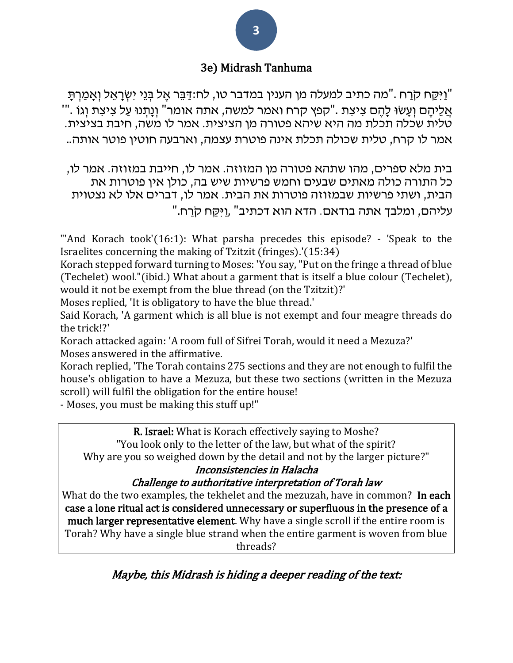## 3e) Midrash Tanhuma

יַיַּקַח קֹרַח [."](https://he.wikisource.org/wiki/%D7%A7%D7%98%D7%92%D7%95%D7%A8%D7%99%D7%94:%D7%91%D7%9E%D7%93%D7%91%D7%A8_%D7%98%D7%96_%D7%90)מה כתיב למעלה מן הענין [במדבר טו, לח](https://he.wikisource.org/wiki/%D7%A7%D7%98%D7%92%D7%95%D7%A8%D7%99%D7%94:%D7%91%D7%9E%D7%93%D7%91%D7%A8_%D7%98%D7%95_%D7%9C%D7%97):דַּבֵּר אֵל בְּנֵי יִשְׂרָאֵל וְאָמַרִתָּ" ". אֲלֵיהֶם וְעֵשׂוּ לָהֶם צִיצִת ."קפֵץ קרח ואמר למשה, אתה אומר" וְנַתְנוּ עַל צְיצִת וְגֹוֹ טלית שכלה תכלת מה היא שיהא פטורה מן הציצית. אמר לו משה, חיבת בציצית. אמר לו קרח, טלית שכולה תכלת אינה פוטרת עצמה, וארבעה חוטין פוטר אותה ..

בית מלא ספרים, מהו שתהא פטורה מן המזוזה. אמר לו, חייבת במזוזה. אמר לו, כל התורה כולה מאתים שבעים וחמש פרשיות שיש בה, כולן אין פוטרות את הבית, ושתי פרשיות שבמזוזה פוטרות את הבית. אמר לו, דברים אלו לא נצטוית "עליהם, ומלבך אתה בודאם. הדא הוא דכתיב" ,ויִקַּח קֹרִח.

"'And Korach took'(16:1): What parsha precedes this episode? - 'Speak to the Israelites concerning the making of Tzitzit (fringes).'(15:34)

Korach stepped forward turning to Moses: 'You say, "Put on the fringe a thread of blue (Techelet) wool."(ibid.) What about a garment that is itself a blue colour (Techelet), would it not be exempt from the blue thread (on the Tzitzit)?'

Moses replied, 'It is obligatory to have the blue thread.'

Said Korach, 'A garment which is all blue is not exempt and four meagre threads do the trick!?'

Korach attacked again: 'A room full of Sifrei Torah, would it need a Mezuza?' Moses answered in the affirmative.

Korach replied, 'The Torah contains 275 sections and they are not enough to fulfil the house's obligation to have a Mezuza, but these two sections (written in the Mezuza scroll) will fulfil the obligation for the entire house!

- Moses, you must be making this stuff up!"

R. Israel: What is Korach effectively saying to Moshe? "You look only to the letter of the law, but what of the spirit?

Why are you so weighed down by the detail and not by the larger picture?"

## Inconsistencies in Halacha

#### Challenge to authoritative interpretation of Torah law

What do the two examples, the tekhelet and the mezuzah, have in common? In each case a lone ritual act is considered unnecessary or superfluous in the presence of a much larger representative element. Why have a single scroll if the entire room is Torah? Why have a single blue strand when the entire garment is woven from blue threads?

Maybe, this Midrash is hiding a deeper reading of the text: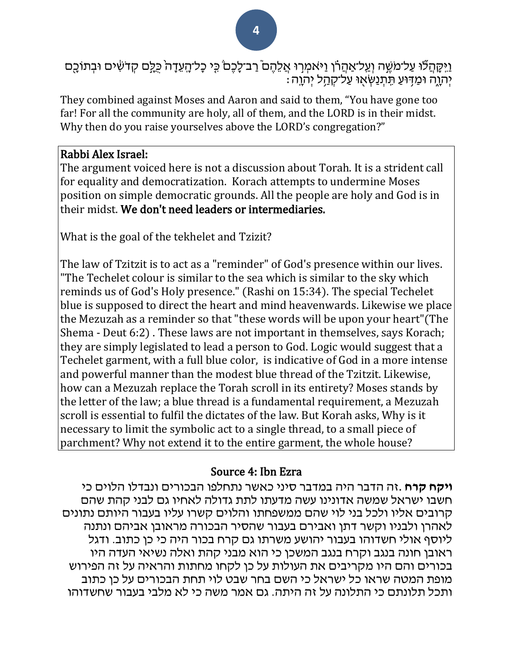וַיִּקָּהַלֹּוּ עַל־מֹשֶׁה וְעַל־אַהֲרֹו וַיּאמְרְוּ אֲלֵהֶם ֿרַב־לָכֶםׂ כִֵּי כָל־הָעֵדָה כֻּלֵּם קְדֹשִׂים וּבְתוֹכֶם  $\cdot$ יִהְוֶה וּמַדְּוּעַ תֵּתְנַשְׁאָוּ עַל־קְהַל יִהְוֶה

They combined against Moses and Aaron and said to them, "You have gone too far! For all the community are holy, all of them, and the LORD is in their midst. Why then do you raise yourselves above the LORD's congregation?"

#### Rabbi Alex Israel:

The argument voiced here is not a discussion about Torah. It is a strident call for equality and democratization. Korach attempts to undermine Moses position on simple democratic grounds. All the people are holy and God is in their midst. We don't need leaders or intermediaries.

What is the goal of the tekhelet and Tzizit?

The law of Tzitzit is to act as a "reminder" of God's presence within our lives. "The Techelet colour is similar to the sea which is similar to the sky which reminds us of God's Holy presence." (Rashi on 15:34). The special Techelet blue is supposed to direct the heart and mind heavenwards. Likewise we place the Mezuzah as a reminder so that "these words will be upon your heart"(The Shema - Deut 6:2) . These laws are not important in themselves, says Korach; they are simply legislated to lead a person to God. Logic would suggest that a Techelet garment, with a full blue color, is indicative of God in a more intense and powerful manner than the modest blue thread of the Tzitzit. Likewise, how can a Mezuzah replace the Torah scroll in its entirety? Moses stands by the letter of the law; a blue thread is a fundamental requirement, a Mezuzah scroll is essential to fulfil the dictates of the law. But Korah asks, Why is it necessary to limit the symbolic act to a single thread, to a small piece of parchment? Why not extend it to the entire garment, the whole house?

## Source 4: Ibn Ezra

**ויקח קרח** .זה הדבר היה במדבר סיני כאשר נתחלפו הבכורים ונבדלו הלוים כי חשבו ישראל שמשה אדונינו עשה מדעתו לתת גדולה לאחיו גם לבני קהת שהם קרובים אליו ולכל בני לוי שהם ממשפחתו והלוים קשרו עליו בעבור היותם נתונים לאהרן ולבניו וקשר דתן ואבירם בעבור שהסיר הבכורה מראובן אביהם ונתנה ליוסף אולי חשדוהו בעבור יהושע משרתו גם קרח בכור היה כי כן כתוב. ודגל ראובן חונה בנגב וקרח בנגב המשכן כי הוא מבני קהת ואלה נשיאי העדה היו בכורים והם היו מקריבים את העולות על כן לקחו מחתות והראיה על זה הפירוש מופת המטה שראו כל ישראל כי השם בחר שבט לוי תחת הבכורים על כן כתוב ותכל תלונתם כי התלונה על זה היתה. גם אמר משה כי לא מלבי בעבור שחשדוהו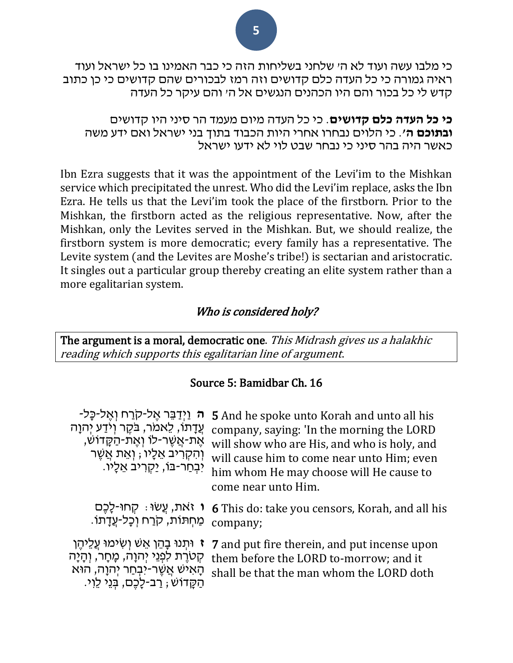כי מלבו עשה ועוד לא ה' שלחני בשליחות הזה כי כבר האמינו בו כל ישראל ועוד ראיה גמורה כי כל העדה כלם קדושים וזה רמז לבכורים שהם קדושים כי כן כתוב קדש לי כל בכור והם היו הכהנים הנגשים אל ה' והם עיקר כל העדה

**כי כל העדה כלם קדושים**. כי כל העדה מיום מעמד הר סיני היו קדושים **ובתוכם ה'**. כי הלוים נבחרו אחרי היות הכבוד בתוך בני ישראל ואם ידע משה כאשר היה בהר סיני כי נבחר שבט לוי לא ידעו ישראל

Ibn Ezra suggests that it was the appointment of the Levi'im to the Mishkan service which precipitated the unrest. Who did the Levi'im replace, asks the Ibn Ezra. He tells us that the Levi'im took the place of the firstborn. Prior to the Mishkan, the firstborn acted as the religious representative. Now, after the Mishkan, only the Levites served in the Mishkan. But, we should realize, the firstborn system is more democratic; every family has a representative. The Levite system (and the Levites are Moshe's tribe!) is sectarian and aristocratic. It singles out a particular group thereby creating an elite system rather than a more egalitarian system.

#### Who is considered holy?

The argument is a moral, democratic one. This Midrash gives us a halakhic reading which supports this egalitarian line of argument.

#### Source 5: Bamidbar Ch. 16

| <del>ה וַיִּדַבֵּר אֵל-קוַרח וְאֵל-כָּל-</del><br>עֲדָתוֹ, לַאמֹר, בֹּקֶר וְיֹדַע יִהוָה<br>ֹאֶת-אֲשֶׁר-לוֹ וְאֶת-הַקָּדוֹשׁ,<br>וְהִקְרִיב אֵלָיו ; וְאֵת אֲשֶׁר<br>יִבְחַר-בּוֹ, יַקְרִיב אֵלֵיו. | <b>5</b> And he spoke unto Korah and unto all his<br>company, saying: 'In the morning the LORD<br>will show who are His, and who is holy, and<br>will cause him to come near unto Him; even<br>him whom He may choose will He cause to<br>come near unto Him. |
|-----------------------------------------------------------------------------------------------------------------------------------------------------------------------------------------------------|---------------------------------------------------------------------------------------------------------------------------------------------------------------------------------------------------------------------------------------------------------------|
| ו זאת, עֵשׂוּ : קְחוּ-לָכֵם<br>ִמַּחִתּוֹת, קֹרַח וְכָל-עֲדָתוֹ.                                                                                                                                    | <b>6</b> This do: take you censors, Korah, and all his<br>company;                                                                                                                                                                                            |
| ז וּתִנוּ בָהֵן אֵשׁ וִשְׂימוּ עֲלֵיהֵן<br>קְטֹרֶת לִפְנֵי יְהוָה, מָחָר, וְהָיָה<br>ְהָאִישׁ אֲשֶׁר-יִבְחַר יְהוָה, הוּא<br>הַקֵּדוֹשׁ; רַב-לָכֶם, בְּגֵי לֵוִי.                                   | <b>7</b> and put fire therein, and put incense upon<br>them before the LORD to-morrow; and it<br>shall be that the man whom the LORD doth                                                                                                                     |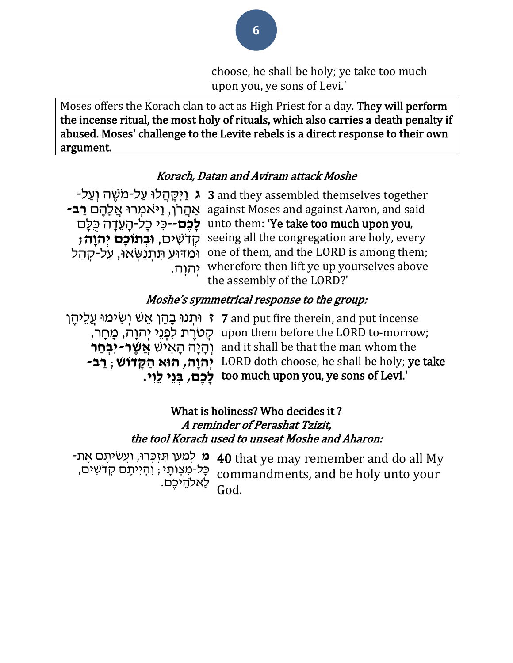choose, he shall be holy; ye take too much upon you, ye sons of Levi.'

Moses offers the Korach clan to act as High Priest for a day. They will perform the incense ritual, the most holy of rituals, which also carries a death penalty if abused. Moses' challenge to the Levite rebels is a direct response to their own argument.

### Korach, Datan and Aviram attack Moshe

**ג וַיִּקְהַלוּ עַל-מֹשֶׁה וְעַל- 3** and they assembled themselves together אַ הֲ רֹּן, וַי ֹּאמְ רּו אֲ לֵּהֶ ם **רַ ב-** against Moses and against Aaron, and said unto them: 'Ye take too much upon you, לָכֶ**ם**--כִּי כָל-הָעֵדָה כַּלָּם קְ דֹּשִ ים, **ּובְ תֹוכָם יְהוָה;** seeing all the congregation are holy, every ימַדּוּעַ תִּתְנַשְאוֹ, עַל-קְהַל one of them, and the LORD is among them; יְהוָה. wherefore then lift ye up yourselves above the assembly of the LORD?'

#### Moshe's symmetrical response to the group:

**ז** וּתְנוּ בָהֵן אֵשׁ וְשִׂימוּ עֲלֵיהֶן (7 and put fire therein, and put incense ּחָרָת לִפְנֵי יְהוָה, מָחָר, ipon them before the LORD to-morrow; וְ הָ יָה הָ אִ יש **אֲ שֶ ר-יִבְ חַ ר**  and it shall be that the man whom the **יְהוָה, הּוא הַ קָ דֹוש** ; **רַ ב-** LORD doth choose, he shall be holy; ye take ּ**לֶכֶם, בְּנֵי לֵוִי.** too much upon you, ye sons of Levi.'

## What is holiness? Who decides it ? A reminder of Perashat Tzizit, the tool Korach used to unseat Moshe and Aharon:

**-מ** לְמַעַן תִּזְכְּרוּ, וַעֲשִׂיתֶם אֶת **40 k**hat ye may remember and do all My כְּל-מִצְוֹתָי ; וִהְיִיתֶם קָדֹשִׁים, לֵּאֹלהֵּ יכֶם. commandments, and be holy unto your God.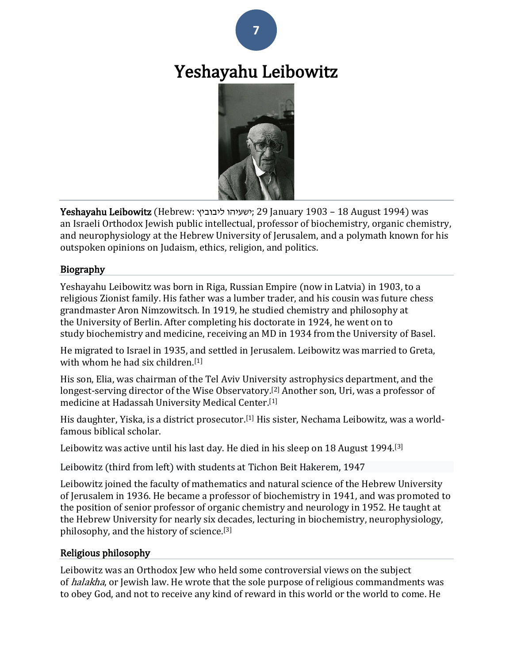

# Yeshayahu Leibowitz



Yeshayahu Leibowitz [\(Hebrew:](https://en.wikipedia.org/wiki/Hebrew_language) ליבוביץ ישעיהו ;29 January 1903 – 18 August 1994) was an [Israeli](https://en.wikipedia.org/wiki/Israel) [Orthodox Jewish](https://en.wikipedia.org/wiki/Orthodox_Jewish) [public intellectual,](https://en.wikipedia.org/wiki/Public_intellectual) professor of [biochemistry,](https://en.wikipedia.org/wiki/Biochemistry) [organic chemistry,](https://en.wikipedia.org/wiki/Organic_chemistry) and [neurophysiology](https://en.wikipedia.org/wiki/Neurophysiology) at the [Hebrew University of Jerusalem,](https://en.wikipedia.org/wiki/Hebrew_University_of_Jerusalem) and a [polymath](https://en.wikipedia.org/wiki/Polymath) known for his outspoken opinions on Judaism, ethics, religion, and politics.

#### Biography

Yeshayahu Leibowitz was born in [Riga,](https://en.wikipedia.org/wiki/Riga) Russian Empire (now in [Latvia\)](https://en.wikipedia.org/wiki/Latvia) in 1903, to a religious [Zionist](https://en.wikipedia.org/wiki/Zionism) family. His father was a lumber trader, and his cousin was future [chess](https://en.wikipedia.org/wiki/Grandmaster_(chess))  [grandmaster](https://en.wikipedia.org/wiki/Grandmaster_(chess)) [Aron Nimzowitsch.](https://en.wikipedia.org/wiki/Aron_Nimzowitsch) In 1919, he studied [chemistry](https://en.wikipedia.org/wiki/Chemistry) and [philosophy](https://en.wikipedia.org/wiki/Philosophy) at the [University of Berlin.](https://en.wikipedia.org/wiki/University_of_Berlin) After completing his doctorate in 1924, he went on to study [biochemistry](https://en.wikipedia.org/wiki/Biochemistry) and [medicine,](https://en.wikipedia.org/wiki/Medicine) receiving an [MD](https://en.wikipedia.org/wiki/Doctor_of_Medicine) in 1934 from the [University of Basel.](https://en.wikipedia.org/wiki/University_of_Basel)

He migrated to [Israel](https://en.wikipedia.org/wiki/Israel_(region)) in 1935, and settled in [Jerusalem.](https://en.wikipedia.org/wiki/Jerusalem) Leibowitz was married to Greta, with whom he had six children.[\[1\]](https://en.wikipedia.org/wiki/Yeshayahu_Leibowitz#cite_note-autogenerated2-1)

His son, Elia, was chairman of the [Tel Aviv University](https://en.wikipedia.org/wiki/Tel_Aviv_University) astrophysics department, and the longest-serving director of the [Wise Observatory.](https://en.wikipedia.org/wiki/Wise_Observatory)<sup>[\[2\]](https://en.wikipedia.org/wiki/Yeshayahu_Leibowitz#cite_note-2)</sup> Another son, Uri, was a professor of medicine at [Hadassah University Medical Center.](https://en.wikipedia.org/wiki/Hadassah_Medical_Center) [\[1\]](https://en.wikipedia.org/wiki/Yeshayahu_Leibowitz#cite_note-autogenerated2-1)

His daughter, Yiska, is a district prosecutor.[\[1\]](https://en.wikipedia.org/wiki/Yeshayahu_Leibowitz#cite_note-autogenerated2-1) His sister, [Nechama Leibowitz,](https://en.wikipedia.org/wiki/Nechama_Leibowitz) was a worldfamous [biblical](https://en.wikipedia.org/wiki/Bible) scholar.

Leibowitz was active until his last day. He died in his sleep on 18 August 1994.[\[3\]](https://en.wikipedia.org/wiki/Yeshayahu_Leibowitz#cite_note-autogenerated1-3)

Leibowitz (third from left) with students at [Tichon Beit Hakerem,](https://en.wikipedia.org/wiki/Hebrew_University_Secondary_School) 1947

Leibowitz joined the faculty of mathematics and natural science of the [Hebrew University](https://en.wikipedia.org/wiki/Hebrew_University_of_Jerusalem)  [of Jerusalem](https://en.wikipedia.org/wiki/Hebrew_University_of_Jerusalem) in 1936. He became a professor of [biochemistry](https://en.wikipedia.org/wiki/Biochemistry) in 1941, and was promoted to the position of senior professor of [organic chemistry](https://en.wikipedia.org/wiki/Organic_chemistry) and [neurology](https://en.wikipedia.org/wiki/Neurology) in 1952. He taught at the Hebrew University for nearly six decades, lecturing in biochemistry, neurophysiology, philosophy, and the history of science.[\[3\]](https://en.wikipedia.org/wiki/Yeshayahu_Leibowitz#cite_note-autogenerated1-3)

#### Religious philosophy

Leibowitz was an Orthodox Jew who held some controversial views on the subject of *[halakha](https://en.wikipedia.org/wiki/Halakha)*, or Jewish law. He wrote that the sole purpose of religious commandments was to obey God, and not to receive any kind of reward in this world or the [world to come.](https://en.wikipedia.org/wiki/Jewish_eschatology) He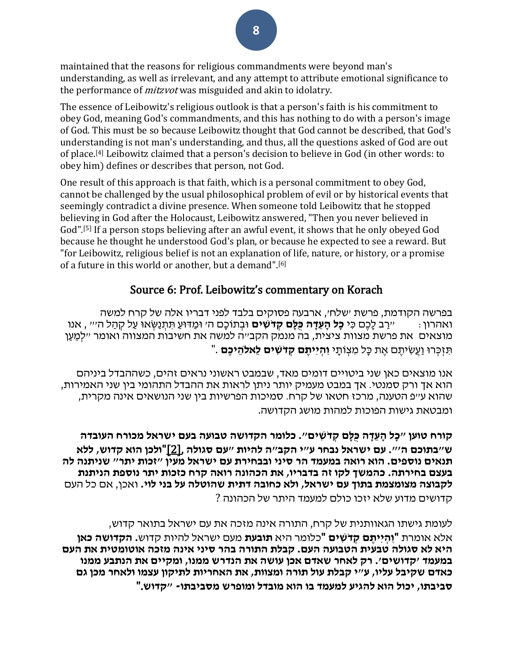maintained that the reasons for religious commandments were beyond man's understanding, as well as irrelevant, and any attempt to attribute emotional significance to the performance of *[mitzvot](https://en.wikipedia.org/wiki/Mitzvot)* was misguided and akin to idolatry.

The essence of Leibowitz's religious outlook is that a person's faith is his commitment to obey God, meaning God's commandments, and this has nothing to do with a person's image of God. This must be so because Leibowitz thought that God cannot be described, that God's understanding is not man's understanding, and thus, all the questions asked of God are out of place.[\[4\]](https://en.wikipedia.org/wiki/Yeshayahu_Leibowitz#cite_note-4) Leibowitz claimed that a person's decision to believe in God (in other words: to obey him) defines or describes that person, not God.

One result of this approach is that faith, which is a personal commitment to obey God, cannot be challenged by the usual philosophical problem of evil or by historical events that seemingly contradict a divine presence. When someone told Leibowitz that he stopped believing in God after the Holocaust, Leibowitz answered, "Then you never believed in God".[\[5\]](https://en.wikipedia.org/wiki/Yeshayahu_Leibowitz#cite_note-5) If a person stops believing after an awful event, it shows that he only obeyed God because he thought he understood God's plan, or because he expected to see a reward. But "for Leibowitz, religious belief is not an explanation of life, nature, or history, or a promise of a future in this world or another, but a demand".[\[6\]](https://en.wikipedia.org/wiki/Yeshayahu_Leibowitz#cite_note-6)

#### Source 6: Prof. Leibowitz's commentary on Korach

בפרשה הקודמת, פרשת 'שלח', ארבעה פסוקים בלבד לפני דבריו אלה של קרח למשה ואהרון: "רַ ב לָכֶם כִ י **כָל הָ עֵ דָ ה כֻּלָם קְ דֹשִ ים** ּובְ תֹוכָם ה' ּומַ דּועַ תִ תְ נַשְ אּו עַ ל קְ הַ ל ה'" , אנו מוצאים את פרשת מצוות ציצית, בה מנמק הקב"ה למשה את חשיבות המצווה ואומר "לְמַ עַ ן תִ זְ כְ רּו וַעֲשִ יתֶ ם אֶ ת כָל מִ צְ ֹותָ י **וִ הְ יִיתֶ ם קְ דֹשִ ים לֵאֹלהֵ יכֶם** ."

אנו מוצאים כאן שני ביטויים דומים מאד, שבמבט ראשוני נראים זהים, כשההבדל ביניהם הוא אך ורק סמנטי. אך במבט מעמיק יותר ניתן לראות את ההבדל התהומי בין שני האמירות, שהוא ע"פ הטענה, מרכז חטאו של קרח. סמיכות הפרשיות בין שני הנושאים אינה מקרית, ומבטאת גישות הפוכות למהות מושג הקדושה.

**קורח טוען "כָל הָ עֵ דָ ה כֻּלָם קְ דֹשִ ים". כלומר הקדושה טבועה בעם ישראל מכורח העובדה ש"בתוכם ה'". עם ישראל נבחר ע"י הקב"ה להיות "עם סגולה** [,\[2\]"](http://bikurim.kipa.co.il/show_art.asp?id=33662#_ftn2)**ולכן הוא קדוש, ללא תנאים נוספים. הוא רואה במעמד הר סיני ובבחירת עם ישראל מעין "זכות יתר" שניתנה לה בעצם בחירתה. כהמשך לקו זה בדבריו, את הכהונה רואה קרח כזכות יתר נוספת הניתנת לקבוצה מצומצמת בתוך עם ישראל, ולא כחובה דתית שהוטלה על בני לוי.** ואכן, אם כל העם קדושים מדוע שלא יזכו כולם למעמד היתר של הכהונה ?

לעומת גישתו הגאוותנית של קרח, התורה אינה מזכה את עם ישראל בתואר קדוש, אלא אומרת "**וִ הְ יִיתֶ ם קְ דֹשִ ים** "כלומר היא **תובעת** מעם ישראל להיות קדוש**. הקדושה כאן היא לא סגולה טבעית הטבועה העם. קבלת התורה בהר סיני אינה מזכה אוטומטית את העם במעמד 'קדושים'. רק לאחר שאדם אכן עושה את הנדרש ממנו, ומקיים את הנתבע ממנו כאדם שקיבל עליו, ע"י קבלת עול תורה ומצוות, את האחריות לתיקון עצמו ולאחר מכן גם סביבתו, יכול הוא להגיע למעמד בו הוא מובדל ומופרש מסביבתו- "קדוש**."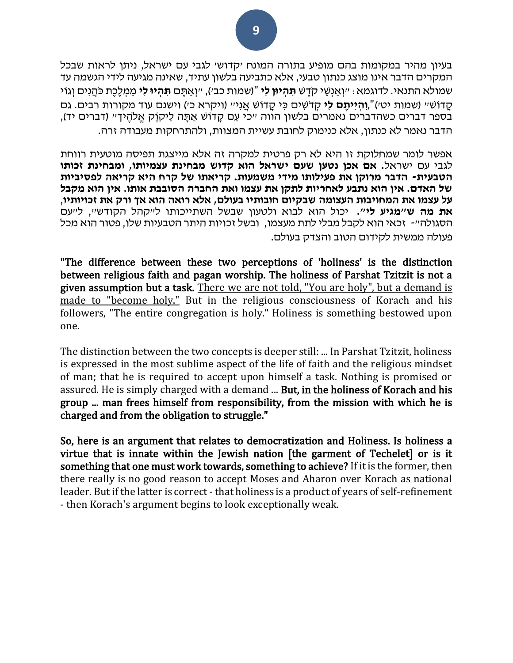בעיון מהיר במקומות בהם מופיע בתורה המונח 'קדוש' לגבי עם ישראל, ניתן לראות שבכל המקרים הדבר אינו מוצג כנתון טבעי, אלא כתביעה בלשון עתיד, שאינה מגיעה לידי הגשמה עד שמולא התנאי. לדוגמא: "וְ אַ נְשֵּ י קֹּדֶ ש **תִ הְ יּון לִי** ")שמות כב'(, "וְ אַ תֶ ם **תִ הְ יּו לִי** מַ מְ לֶכֶת כֹּהֲ נִים וְ גֹוי קדוֹשׁ" (שמות יטי)"**,והייתם לי** קדֹשׁים כּי קדוֹשׁ אַני" (ויקרא כ') וישנם עוד מקורות רבים. גם בספר דברים כשהדברים נאמרים בלשון הווה "כי עַם קָדוֹשׁ אַתָּה לַיקוָק אֱלֹהֶיךִ" (דברים יד), הדבר נאמר לא כנתון, אלא כנימוק לחובת עשיית המצוות, ולהתרחקות מעבודה זרה.

אפשר לומר שמחלוקת זו היא לא רק פרטית למקרה זה אלא מייצגת תפיסה מוטעית רווחת לגבי עם ישראל**. אם אכן נטען שעם ישראל הוא קדוש מבחינת עצמיותו, ומבחינת זכותו הטבעית- הדבר מרוקן את פעילותו מידי משמעות. קריאתו של קרח היא קריאה לפסיביות של האדם. אין הוא נתבע לאחריות לתקן את עצמו ואת החברה הסובבת אותו. אין הוא מקבל על עצמו את המחויבות העצומה שבקיום חובותיו בעולם, אלא רואה הוא אך ורק את זכויותיו** , **את מה ש"מגיע לי".** יכול הוא לבוא ולטעון שבשל השתייכותו ל"קהל הקודש", ל"עם הסגולה"- זכאי הוא לקבל מבלי לתת מעצמו, ובשל זכויות היתר הטבעיות שלו, פטור הוא מכל פעולה ממשית לקידום הטוב והצדק בעולם.

"The difference between these two perceptions of 'holiness' is the distinction between religious faith and pagan worship. The holiness of Parshat Tzitzit is not a given assumption but a task. There we are not told, "You are holy", but a demand is made to "become holy." But in the religious consciousness of Korach and his followers, "The entire congregation is holy." Holiness is something bestowed upon one.

The distinction between the two concepts is deeper still: ... In Parshat Tzitzit, holiness is expressed in the most sublime aspect of the life of faith and the religious mindset of man; that he is required to accept upon himself a task. Nothing is promised or assured. He is simply charged with a demand ... But, in the holiness of Korach and his group ... man frees himself from responsibility, from the mission with which he is charged and from the obligation to struggle."

So, here is an argument that relates to democratization and Holiness. Is holiness a virtue that is innate within the Jewish nation [the garment of Techelet] or is it something that one must work towards, something to achieve? If it is the former, then there really is no good reason to accept Moses and Aharon over Korach as national leader. But if the latter is correct - that holiness is a product of years of self-refinement - then Korach's argument begins to look exceptionally weak.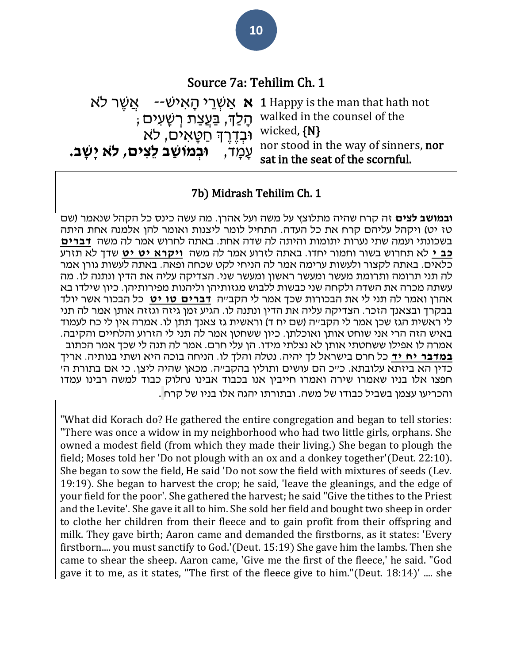# Source 7a: Tehilim Ch. 1

**אַ אַשְׁרֵי הָאישׁ--** אֲשֶׁר לא הָ לְַך, בַ עֲצַ ת רְ שָ עִ ים; ּובְ דֶ רֶ ְך חַ טָ אִ ים, ל ֹּא עָ מָ ד, **ּובְ מֹושַ ב לֵצִ ים, ל ֹא יָשָ ב.**  walked in the counsel of the wicked, {N} nor stood in the way of sinners, nor sat in the seat of the scornful.

### 7b) Midrash Tehilim Ch. 1

**ובמושב לצים** זה קרח שהיה מתלוצץ על משה ועל אהרן. מה עשה כינס כל הקהל שנאמר )שם טז יט) ויקהל עליהם קרח את כל העדה. התחיל לומר ליצנות ואומר להן אלמנה אחת היתה בשכונתי ועמה שתי נערות יתומות והיתה לה שדה אחת. באתה לחרוש אמר לה משה **[דברים](https://www.sefaria.org/Deuteronomy.22.10)  [כב י](https://www.sefaria.org/Deuteronomy.22.10)** לא תחרוש בשור וחמור יחדו. באתה לזרוע אמר לה משה **[ויקרא יט יט](https://www.sefaria.org/Leviticus.19.19)** שדך לא תזרע כלאים. באתה לקצור ולעשות ערימה אמר לה הניחי לקט שכחה ופאה. באתה לעשות גורן אמר לה תני תרומה ותרומת מעשר ומעשר ראשון ומעשר שני. הצדיקה עליה את הדין ונתנה לו. מה עשתה מכרה את השדה ולקחה שני כבשות ללבוש מגזותיהן וליהנות מפירותיהן. כיון שילדו בא אהרן ואמר לה תני לי את הבכורות שכך אמר לי הקב"ה **[דברים טו יט](https://www.sefaria.org/Deuteronomy.15.19)** כל הבכור אשר יולד בבקרך ובצאנך הזכר. הצדיקה עליה את הדין ונתנה לו. הגיע זמן גיזה וגזזה אותן אמר לה תני לי ראשית הגז שכן אמר לי הקב״ה (שם יח ד) וראשית גז צאנך תתן לו. אמרה אין לי כח לעמוד באיש הזה הרי אני שוחט אותן ואוכלתן. כיון ששחטן אמר לה תני לי הזרוע והלחיים והקיבה. אמרה לו אפילו ששחטתי אותן לא נצלתי מידו. הן עלי חרם. אמר לה תנה לי שכך אמר הכתוב **[ב מדבר יח יד](https://www.sefaria.org/Numbers.18.14)** כל חרם בישראל לך יהיה. נטלה והלך לו. הניחה בוכה היא ושתי בנותיה. אריך כדין הא ביזתא עלובתא. כ"כ הם עושים ותולין בהקב"ה. מכאן שהיה ליצן. כי אם בתורת ה' חפצו אלו בניו שאמרו שירה ואמרו חייבין אנו בכבוד אבינו נחלוק כבוד למשה רבינו עמדו והכריעו עצמן בשביל כבודו של משה. ובתורתו יהגה אלו בניו של קרח .

"What did Korach do? He gathered the entire congregation and began to tell stories: "There was once a widow in my neighborhood who had two little girls, orphans. She owned a modest field (from which they made their living.) She began to plough the field; Moses told her 'Do not plough with an ox and a donkey together'(Deut. 22:10). She began to sow the field, He said 'Do not sow the field with mixtures of seeds (Lev. 19:19). She began to harvest the crop; he said, 'leave the gleanings, and the edge of your field for the poor'. She gathered the harvest; he said "Give the tithes to the Priest and the Levite'. She gave it all to him. She sold her field and bought two sheep in order to clothe her children from their fleece and to gain profit from their offspring and milk. They gave birth; Aaron came and demanded the firstborns, as it states: 'Every firstborn.... you must sanctify to God.'(Deut. 15:19) She gave him the lambs. Then she came to shear the sheep. Aaron came, 'Give me the first of the fleece,' he said. "God gave it to me, as it states, "The first of the fleece give to him."(Deut. 18:14)' .... she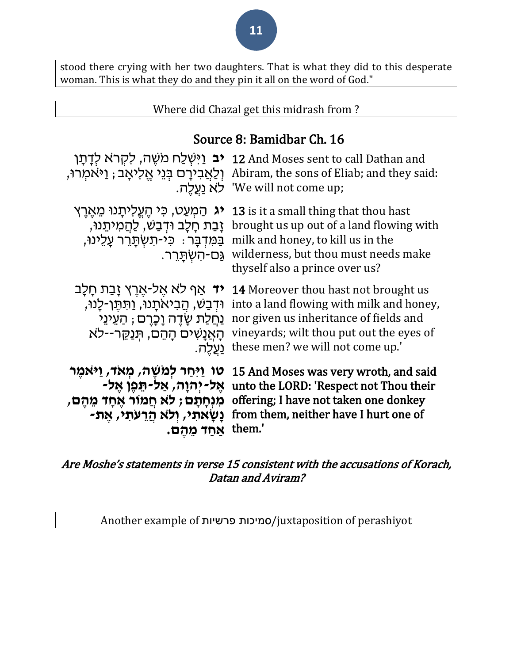stood there crying with her two daughters. That is what they did to this desperate woman. This is what they do and they pin it all on the word of God."

#### Where did Chazal get this midrash from ?

## Source 8: Bamidbar Ch. 16

| <b>יב</b> וַיִּשְׁלַח מֹשֵׁה, לִקְרֹא לְדָתָן                                                                                                                      | 12 And Moses sent to call Dathan and                                                                                                                                                             |
|--------------------------------------------------------------------------------------------------------------------------------------------------------------------|--------------------------------------------------------------------------------------------------------------------------------------------------------------------------------------------------|
| וְלַאֲבִירַם בְּנֵי אֱלִיאַב; וַיּאמְרוּ,                                                                                                                          | Abiram, the sons of Eliab; and they said:                                                                                                                                                        |
| לא נעלה.                                                                                                                                                           | 'We will not come up;                                                                                                                                                                            |
| <b>יג</b> הַמְעַט, כִּי הֵעֱלִיתָנוּ מֵאֵרֵץ<br>ַזָּבַת חָלָב וּדְבַשׁ, לַהֲמִיתֵנוּ,<br>ַבַּמְּדְבַָּר ִּ כְּי-תָשְׁתַּרֵר עָלֵינוּ,<br><u>גַּם-הָשְׁתַּרֶ</u> ר. | 13 is it a small thing that thou hast<br>brought us up out of a land flowing with<br>milk and honey, to kill us in the<br>wilderness, but thou must needs make<br>thyself also a prince over us? |
| <b>יד</b> אַף לא אֵל-אֵרֵץ זָבַת חָלָב                                                                                                                             | <b>14</b> Moreover thou hast not brought us                                                                                                                                                      |
| וּדְבַשׁ, הֲבִיאתָנוּ, וַתְּתֵן-לָנוּ,                                                                                                                             | into a land flowing with milk and honey,                                                                                                                                                         |
| <u>ַנְחַלַת שָׂדֵה וָכָרֵם ; הַעֵינֵי</u>                                                                                                                          | nor given us inheritance of fields and                                                                                                                                                           |
| הָאֲנָשִׁים הָהֵם, תְּנַקֵּר--לֹא                                                                                                                                  | vineyards; wilt thou put out the eyes of                                                                                                                                                         |
| <u>ַנְעֲלֶה.</u>                                                                                                                                                   | these men? we will not come up."                                                                                                                                                                 |
| טו וַיִּחַר לְמֹשֶׁה <i>ּ,</i> מְאֹ <i>ד,</i> וַיּאמֶר                                                                                                             | 15 And Moses was very wroth, and said                                                                                                                                                            |
| אֵל-יִהוַה, אַל-תֵּפֵן אֵל-                                                                                                                                        | unto the LORD: 'Respect not Thou their                                                                                                                                                           |
| מִנְחָתָם ; לֹא חֲמוֹר אֶחָד מֵהֶם,                                                                                                                                | offering; I have not taken one donkey                                                                                                                                                            |
| ַנָּשָׂאתִי, וְלֹא הַרְעתִי, אֶת-                                                                                                                                  | from them, neither have I hurt one of                                                                                                                                                            |
| אחד מהם.                                                                                                                                                           | them.'                                                                                                                                                                                           |

#### Are Moshe's statements in verse 15 consistent with the accusations of Korach, Datan and Aviram?

Another example of פרשיות סמיכות/juxtaposition of perashiyot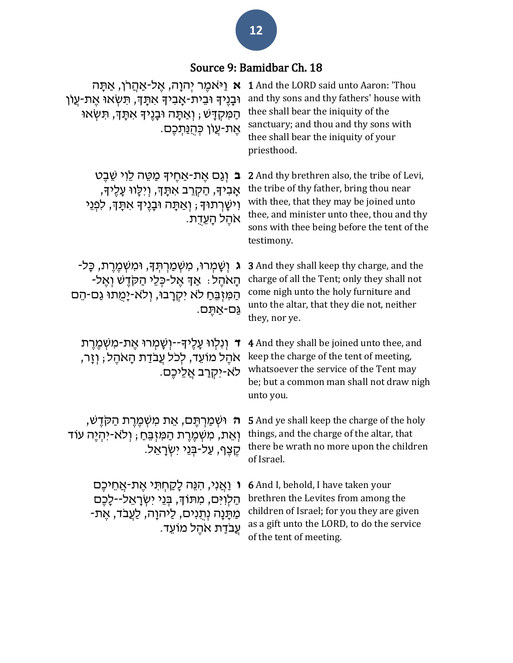## Source 9: Bamidbar Ch. 18

| <b>א</b> וַיּאמֵר יִהוָה, אֵל-אַהַרֹן, אַתָּה<br>וּבָנֵיךָ וּבֵית-אָבִיךָ אִתָּךָ, תִּשְׂאוּ אֵת-עֵוֹן<br>ּהַמְקִדָּשׁ ; וְאַתָּה וּבָנֵיךָ אִתָּךָ, תִּשְׂאוּ<br>ּאֵת-עֵוֹן כִּהְנַתִּכֵם. | <b>1</b> And the LORD said unto Aaron: 'Thou<br>and thy sons and thy fathers' house with<br>thee shall bear the iniquity of the<br>sanctuary; and thou and thy sons with<br>thee shall bear the iniquity of your<br>priesthood.                      |
|---------------------------------------------------------------------------------------------------------------------------------------------------------------------------------------------|------------------------------------------------------------------------------------------------------------------------------------------------------------------------------------------------------------------------------------------------------|
| ב וְגַם אֵת-אַחֵידְּ מַטֵּה לֵוִי שֵׁבֵט<br>אָבִיךּ, הַקְרֵב אִתָּךָ, וַיִּלָּווּ עָלֵיךָ,<br>וִישָׁרִתוּךָ ; וְאַתָּה וּבָנֵיךָ אִתָּךָ, לִפְנֵי<br>אהל הָעֵדָת.                           | <b>2</b> And thy brethren also, the tribe of Levi,<br>the tribe of thy father, bring thou near<br>with thee, that they may be joined unto<br>thee, and minister unto thee, thou and thy<br>sons with thee being before the tent of the<br>testimony. |
| ג וִשָּׁמְרוּ, מִשְׁמַרְתִּךָ, וּמִשְׁמֵרֵת, כָּל-<br>ּהָאֹהֵל؛ אַךְ אֵל-כִּלֵי הַקֹּדֵשׁ וְאֵל-<br>הַמְּזִבֵּחַ לֹא יִקְרָבוּ, וְלֹא-יָמְתוּ גַם-הֵם<br>גַּם-אַתֵּם.                       | <b>3</b> And they shall keep thy charge, and the<br>charge of all the Tent; only they shall not<br>come nigh unto the holy furniture and<br>unto the altar, that they die not, neither<br>they, nor ye.                                              |
| ד וְנִלְווּ עָלֶיךָ--וִשָּׁמִרוּ אֵת-מִשְׁמֵרֵת<br>אֹהֵל מוֹעֵד, לִכֹל עֲבֹדַת הָאֹהֵל; וְזֶר,<br>לא-יִקְרַב אֲלֵיכֵם.                                                                      | 4 And they shall be joined unto thee, and<br>keep the charge of the tent of meeting,<br>whatsoever the service of the Tent may<br>be; but a common man shall not draw nigh<br>unto you.                                                              |
| <del>ָה</del> וּשְׁמַרְתֶּם, אֵת מִשְּׁמֶרֶת הַקֹּדֶשׁ,<br>וְאֵת, מִשְׁמֶרֶת הַמִּזְבֵּחַ ; וְלֹא-יִהְיֶה עוֹד<br>ּקֶצֶף, עַל-בְּנֵי יִשְׂרָאֵל.                                            | <b>5</b> And ye shall keep the charge of the holy<br>things, and the charge of the altar, that<br>there be wrath no more upon the children<br>of Israel.                                                                                             |
| ּוּ וַאֲנִי, הִנֵּה לָקַחְתִּי אֶת-אֲחֵיכֶם<br>הַלְוִיִּם, מִתּוֹךָ, בִּנֵי יִשְׂרָאֵל--לָכֶם<br>ַמַּתָּנָה נִתְנִים, לַיהוָה, לַעֲבֹד, אֵת-<br>ּעֲבֹדַת אֹהֶל מוֹעֵד.                      | <b>6</b> And I, behold, I have taken your<br>brethren the Levites from among the<br>children of Israel; for you they are given<br>as a gift unto the LORD, to do the service<br>of the tent of meeting.                                              |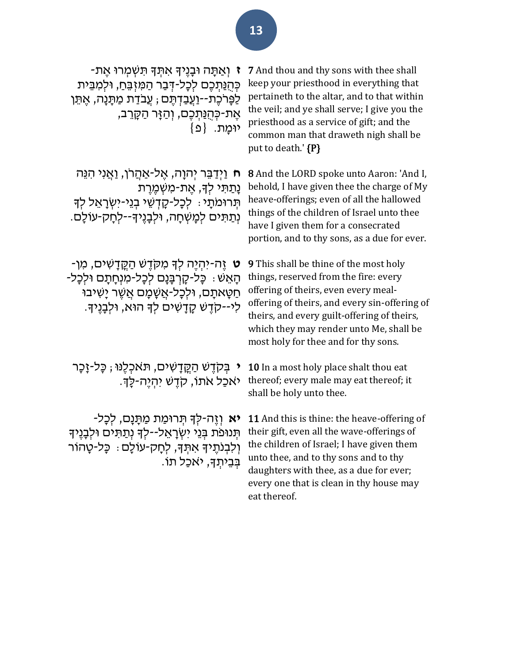**ז** וְ אַ תָ ה ּובָ נֶיָך אִ תְ ָך תִ שְ מְ רּו אֶ ת - כְּהְנַתְכֶם לְכָל-דְּבָר הַמְזָבֵּחָ, וּלִמְבֵּית לַפָּרֹכֶת--וַעֲבַדְתֶּם ; עֲבֹדַת מַתָּנָה, אֱתֵּן אֶת-כְּהֻנַּתְכֶם, וְהַזָּר הַקָּרֵב, יומת. <sup>נפ}</sup> 7 And thou and thy sons with thee shall keep your priesthood in everything that pertaineth to the altar, and to that within the veil; and ye shall serve; I give you the priesthood as a service of gift; and the common man that draweth nigh shall be put to death.' {P}

**ח** וַיְדַ בֵּ ר יְהוָה, אֶ ל -אַ הֲ רֹּן, וַאֲ נִי הִ נֵּה נַתַתִּי לִדָּ, אֶת-מְשָׁמֶרֶת תְרוּמֹתֵי: לְכָל-קָדָשֵׁי בְנֵי-יִשְׂרָאֵל לִדְ נְתַ תִ ים לְמָ שְ חָ ה, ּולְבָ נֶיָך--לְחָ ק-עֹולָם.

**ט** זֶה- יִהְ יֶה לְָך מִ קֹּדֶ ש הַ קֳּ דָ שִ ים, מִ ן- הָ אֵּ ש: כָל- קָ רְ בָ נָם לְכָל-מִ נְחָ תָ ם ּולְכָל- ּחַטָּאתָם, וּלְכָל-אֲשֶׁמָם אֲשֵׁר יָשִׁיּבוּ לִי-- קֹּדֶ ש קָ דָ שִ ים לְָך הּוא, ּולְבָ נֶיָך.

**י** בְּקֹדֵשׁ הַקֱדָשִׁים, תּאכְלֵנּוּ ; כַּל-זַכַּר יֹּאכַל אֹתוֹ, קֹדֶשׁ יִהְיֶה-לַּךָּ.

**יא** וְזֶה-לִּךְ תְּרוּמַת מַתֲנַם, לְכָל-תְּנוּפֹת בְּנֵי יִשְׂרָאֲל--לִךְ נְתַתְּים וּלִבְנֵיךָ וְלִבְנֹתֵיךְ אִתְּךָ, לְחַק-עוֹלָם: כַּל-טַהוֹר בְּבְיתְךָ, יֹּאכַל תֹוֹ. 8 And the LORD spoke unto Aaron: 'And I, behold, I have given thee the charge of My heave-offerings; even of all the hallowed things of the children of Israel unto thee have I given them for a consecrated portion, and to thy sons, as a due for ever.

9 This shall be thine of the most holy things, reserved from the fire: every offering of theirs, even every mealoffering of theirs, and every sin-offering of theirs, and every guilt-offering of theirs, which they may render unto Me, shall be most holy for thee and for thy sons.

10 In a most holy place shalt thou eat thereof; every male may eat thereof; it shall be holy unto thee.

11 And this is thine: the heave-offering of their gift, even all the wave-offerings of the children of Israel; I have given them unto thee, and to thy sons and to thy daughters with thee, as a due for ever; every one that is clean in thy house may eat thereof.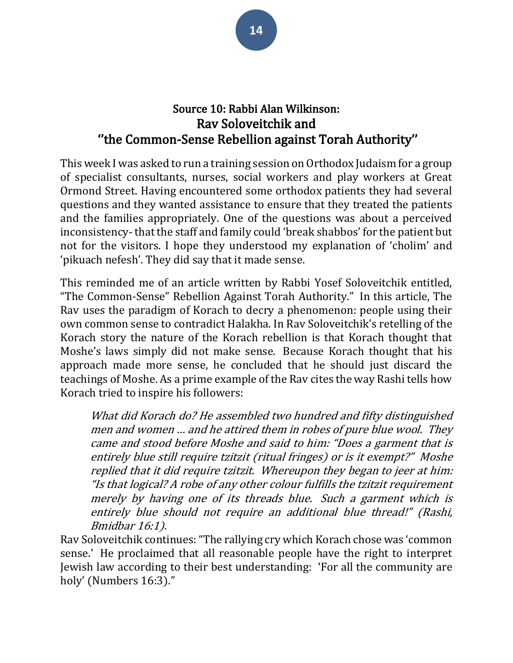## Source 10: Rabbi Alan Wilkinson: Rav Soloveitchik and ''the Common-Sense Rebellion against Torah Authority''

This week I was asked to run a training session on Orthodox Judaism for a group of specialist consultants, nurses, social workers and play workers at Great Ormond Street. Having encountered some orthodox patients they had several questions and they wanted assistance to ensure that they treated the patients and the families appropriately. One of the questions was about a perceived inconsistency- that the staff and family could 'break shabbos' for the patient but not for the visitors. I hope they understood my explanation of 'cholim' and 'pikuach nefesh'. They did say that it made sense.

This reminded me of an article written by Rabbi Yosef Soloveitchik entitled, "The Common-Sense" Rebellion Against Torah Authority." In this article, The Rav uses the paradigm of Korach to decry a phenomenon: people using their own common sense to contradict Halakha. In Rav Soloveitchik's retelling of the Korach story the nature of the Korach rebellion is that Korach thought that Moshe's laws simply did not make sense. Because Korach thought that his approach made more sense, he concluded that he should just discard the teachings of Moshe. As a prime example of the Rav cites the way Rashi tells how Korach tried to inspire his followers:

What did Korach do? He assembled two hundred and fifty distinguished men and women … and he attired them in robes of pure blue wool. They came and stood before Moshe and said to him: "Does a garment that is entirely blue still require tzitzit (ritual fringes) or is it exempt?" Moshe replied that it did require tzitzit. Whereupon they began to jeer at him: "Is that logical? A robe of any other colour fulfills the tzitzit requirement merely by having one of its threads blue. Such a garment which is entirely blue should not require an additional blue thread!" (Rashi, Bmidbar 16:1).

Rav Soloveitchik continues: "The rallying cry which Korach chose was 'common sense.' He proclaimed that all reasonable people have the right to interpret Jewish law according to their best understanding: 'For all the community are holy' (Numbers 16:3)."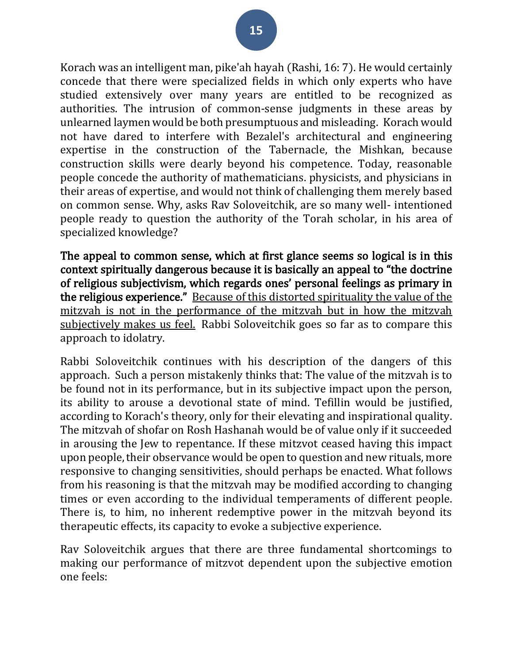Korach was an intelligent man, pike'ah hayah (Rashi, 16: 7). He would certainly concede that there were specialized fields in which only experts who have studied extensively over many years are entitled to be recognized as authorities. The intrusion of common-sense judgments in these areas by unlearned laymen would be both presumptuous and misleading. Korach would not have dared to interfere with Bezalel's architectural and engineering expertise in the construction of the Tabernacle, the Mishkan, because construction skills were dearly beyond his competence. Today, reasonable people concede the authority of mathematicians. physicists, and physicians in their areas of expertise, and would not think of challenging them merely based on common sense. Why, asks Rav Soloveitchik, are so many well- intentioned people ready to question the authority of the Torah scholar, in his area of specialized knowledge?

The appeal to common sense, which at first glance seems so logical is in this context spiritually dangerous because it is basically an appeal to "the doctrine of religious subjectivism, which regards ones' personal feelings as primary in the religious experience." Because of this distorted spirituality the value of the mitzvah is not in the performance of the mitzvah but in how the mitzvah subjectively makes us feel. Rabbi Soloveitchik goes so far as to compare this approach to idolatry.

Rabbi Soloveitchik continues with his description of the dangers of this approach. Such a person mistakenly thinks that: The value of the mitzvah is to be found not in its performance, but in its subjective impact upon the person, its ability to arouse a devotional state of mind. Tefillin would be justified, according to Korach's theory, only for their elevating and inspirational quality. The mitzvah of shofar on Rosh Hashanah would be of value only if it succeeded in arousing the Jew to repentance. If these mitzvot ceased having this impact upon people, their observance would be open to question and new rituals, more responsive to changing sensitivities, should perhaps be enacted. What follows from his reasoning is that the mitzvah may be modified according to changing times or even according to the individual temperaments of different people. There is, to him, no inherent redemptive power in the mitzvah beyond its therapeutic effects, its capacity to evoke a subjective experience.

Rav Soloveitchik argues that there are three fundamental shortcomings to making our performance of mitzvot dependent upon the subjective emotion one feels: